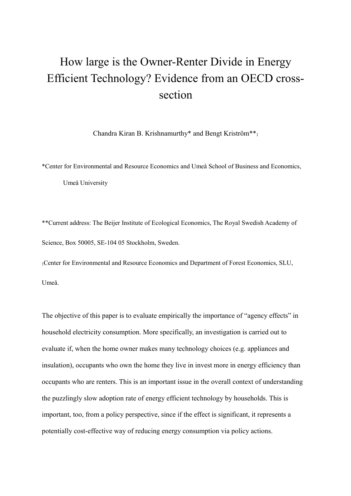## How large is the Owner-Renter Divide in Energy Efficient Technology? Evidence from an OECD crosssection

Chandra Kiran B. Krishnamurthy\* and Bengt Kriström\*\*‡

\*Center for Environmental and Resource Economics and Umeå School of Business and Economics, Umeå University

\*\*Current address: The Beijer Institute of Ecological Economics, The Royal Swedish Academy of Science, Box 50005, SE-104 05 Stockholm, Sweden.

‡Center for Environmental and Resource Economics and Department of Forest Economics, SLU, Umeå.

The objective of this paper is to evaluate empirically the importance of "agency effects" in household electricity consumption. More specifically, an investigation is carried out to evaluate if, when the home owner makes many technology choices (e.g. appliances and insulation), occupants who own the home they live in invest more in energy efficiency than occupants who are renters. This is an important issue in the overall context of understanding the puzzlingly slow adoption rate of energy efficient technology by households. This is important, too, from a policy perspective, since if the effect is significant, it represents a potentially cost-effective way of reducing energy consumption via policy actions.